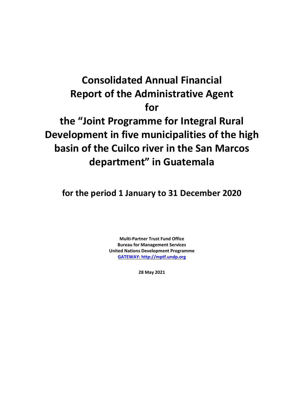# **Consolidated Annual Financial Report of the Administrative Agent for the "Joint Programme for Integral Rural Development in five municipalities of the high basin of the Cuilco river in the San Marcos department" in Guatemala**

**for the period 1 January to 31 December 2020**

**Multi-Partner Trust Fund Office Bureau for Management Services United Nations Development Programme [GATEWAY: http://mptf.undp.org](http://mptf.undp.org/)**

**28 May 2021**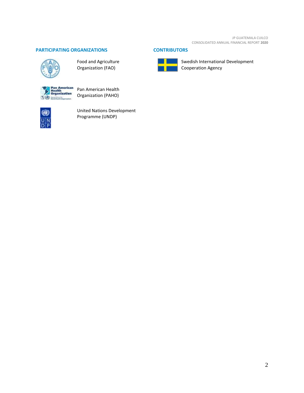JP GUATEMALA CUILCO CONSOLIDATED ANNUAL FINANCIAL REPORT **2020**

# **PARTICIPATING ORGANIZATIONS CONTRIBUTORS**



Food and Agriculture Organization (FAO)



Pan American Health Organization (PAHO)



United Nations Development Programme (UNDP)



Swedish International Development Cooperation Agency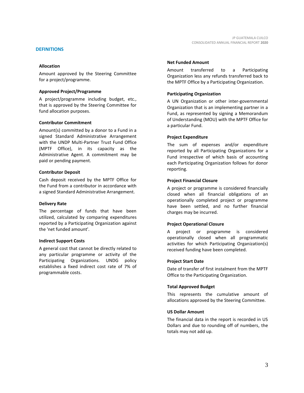# **DEFINITIONS**

# **Allocation**

Amount approved by the Steering Committee for a project/programme.

# **Approved Project/Programme**

A project/programme including budget, etc., that is approved by the Steering Committee for fund allocation purposes.

# **Contributor Commitment**

Amount(s) committed by a donor to a Fund in a signed Standard Administrative Arrangement with the UNDP Multi-Partner Trust Fund Office (MPTF Office), in its capacity as the Administrative Agent. A commitment may be paid or pending payment.

# **Contributor Deposit**

Cash deposit received by the MPTF Office for the Fund from a contributor in accordance with a signed Standard Administrative Arrangement.

# **Delivery Rate**

The percentage of funds that have been utilized, calculated by comparing expenditures reported by a Participating Organization against the 'net funded amount'.

# **Indirect Support Costs**

A general cost that cannot be directly related to any particular programme or activity of the Participating Organizations. UNDG policy establishes a fixed indirect cost rate of 7% of programmable costs.

### **Net Funded Amount**

Amount transferred to a Participating Organization less any refunds transferred back to the MPTF Office by a Participating Organization.

# **Participating Organization**

A UN Organization or other inter-governmental Organization that is an implementing partner in a Fund, as represented by signing a Memorandum of Understanding (MOU) with the MPTF Office for a particular Fund.

# **Project Expenditure**

The sum of expenses and/or expenditure reported by all Participating Organizations for a Fund irrespective of which basis of accounting each Participating Organization follows for donor reporting.

# **Project Financial Closure**

A project or programme is considered financially closed when all financial obligations of an operationally completed project or programme have been settled, and no further financial charges may be incurred.

# **Project Operational Closure**

A project or programme is considered operationally closed when all programmatic activities for which Participating Organization(s) received funding have been completed.

# **Project Start Date**

Date of transfer of first instalment from the MPTF Office to the Participating Organization.

# **Total Approved Budget**

This represents the cumulative amount of allocations approved by the Steering Committee.

# **US Dollar Amount**

The financial data in the report is recorded in US Dollars and due to rounding off of numbers, the totals may not add up.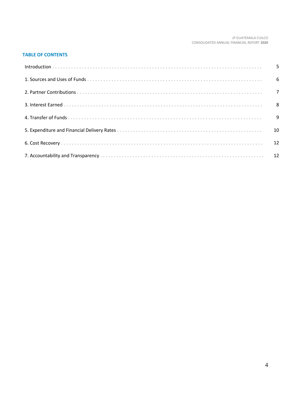#### JP GUATEMALA CUILCO CONSOLIDATED ANNUAL FINANCIAL REPORT **2020**

# **TABLE OF CONTENTS**.

| 10 |
|----|
|    |
|    |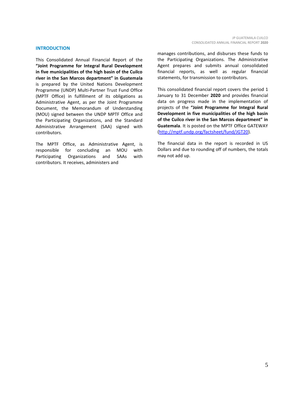#### **INTRODUCTION**

This Consolidated Annual Financial Report of the **"Joint Programme for Integral Rural Development in five municipalities of the high basin of the Cuilco river in the San Marcos department" in Guatemala**  is prepared by the United Nations Development Programme (UNDP) Multi-Partner Trust Fund Office (MPTF Office) in fulfillment of its obligations as Administrative Agent, as per the Joint Programme Document, the Memorandum of Understanding (MOU) signed between the UNDP MPTF Office and the Participating Organizations, and the Standard Administrative Arrangement (SAA) signed with contributors.

The MPTF Office, as Administrative Agent, is responsible for concluding an MOU with Participating Organizations and SAAs with contributors. It receives, administers and

manages contributions, and disburses these funds to the Participating Organizations. The Administrative Agent prepares and submits annual consolidated financial reports, as well as regular financial statements, for transmission to contributors.

This consolidated financial report covers the period 1 January to 31 December **2020** and provides financial data on progress made in the implementation of projects of the **"Joint Programme for Integral Rural Development in five municipalities of the high basin of the Cuilco river in the San Marcos department" in Guatemala**. It is posted on the MPTF Office GATEWAY [\(http://mptf.undp.org/factsheet/fund/JGT20\)](http://mptf.undp.org/factsheet/fund/JGT20).

The financial data in the report is recorded in US Dollars and due to rounding off of numbers, the totals may not add up.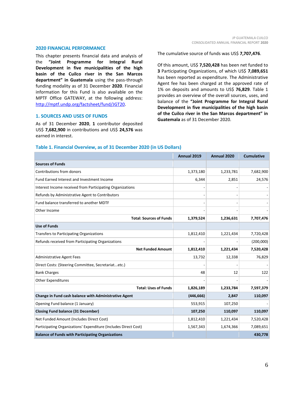#### **2020 FINANCIAL PERFORMANCE**

This chapter presents financial data and analysis of the **"Joint Programme for Integral Rural Development in five municipalities of the high basin of the Cuilco river in the San Marcos department" in Guatemala** using the pass-through funding modality as of 31 December **2020**. Financial information for this Fund is also available on the MPTF Office GATEWAY, at the following address: [http://mptf.undp.org/factsheet/fund/JGT20.](http://mptf.undp.org/factsheet/fund/JGT20)

#### **1. SOURCES AND USES OF FUNDS**

As of 31 December **2020**, **1** contributor deposited US\$ **7,682,900** in contributions and US\$ **24,576** was earned in interest.

The cumulative source of funds was US\$ **7,707,476**.

Of this amount, US\$ **7,520,428** has been net funded to **3** Participating Organizations, of which US\$ **7,089,651** has been reported as expenditure. The Administrative Agent fee has been charged at the approved rate of 1% on deposits and amounts to US\$ **76,829**. Table 1 provides an overview of the overall sources, uses, and balance of the **"Joint Programme for Integral Rural Development in five municipalities of the high basin of the Cuilco river in the San Marcos department" in Guatemala** as of 31 December 2020.

|                                                                 | Annual 2019 | Annual 2020 | <b>Cumulative</b> |
|-----------------------------------------------------------------|-------------|-------------|-------------------|
| <b>Sources of Funds</b>                                         |             |             |                   |
| Contributions from donors                                       | 1,373,180   | 1,233,781   | 7,682,900         |
| Fund Earned Interest and Investment Income                      | 6,344       | 2,851       | 24,576            |
| Interest Income received from Participating Organizations       |             |             |                   |
| Refunds by Administrative Agent to Contributors                 |             |             |                   |
| Fund balance transferred to another MDTF                        |             |             |                   |
| Other Income                                                    |             |             |                   |
| <b>Total: Sources of Funds</b>                                  | 1,379,524   | 1,236,631   | 7,707,476         |
| <b>Use of Funds</b>                                             |             |             |                   |
| Transfers to Participating Organizations                        | 1,812,410   | 1,221,434   | 7,720,428         |
| Refunds received from Participating Organizations               |             |             | (200,000)         |
| <b>Net Funded Amount</b>                                        | 1,812,410   | 1,221,434   | 7,520,428         |
| <b>Administrative Agent Fees</b>                                | 13,732      | 12,338      | 76,829            |
| Direct Costs: (Steering Committee, Secretariatetc.)             |             |             |                   |
| <b>Bank Charges</b>                                             | 48          | 12          | 122               |
| <b>Other Expenditures</b>                                       |             |             |                   |
| <b>Total: Uses of Funds</b>                                     | 1,826,189   | 1,233,784   | 7,597,379         |
| Change in Fund cash balance with Administrative Agent           | (446, 666)  | 2,847       | 110,097           |
| Opening Fund balance (1 January)                                | 553,915     | 107,250     |                   |
| <b>Closing Fund balance (31 December)</b>                       | 107,250     | 110,097     | 110,097           |
| Net Funded Amount (Includes Direct Cost)                        | 1,812,410   | 1,221,434   | 7,520,428         |
| Participating Organizations' Expenditure (Includes Direct Cost) | 1,567,343   | 1,674,366   | 7,089,651         |
| <b>Balance of Funds with Participating Organizations</b>        |             |             | 430,778           |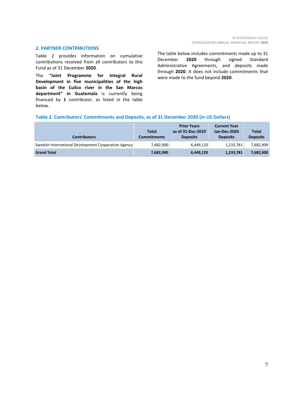# **2. PARTNER CONTRIBUTIONS**

Table 2 provides information on cumulative contributions received from all contributors to this Fund as of 31 December **2020**.

The **"Joint Programme for Integral Rural Development in five municipalities of the high basin of the Cuilco river in the San Marcos department" in Guatemala** is currently being financed by **1** contributor, as listed in the table below.

The table below includes commitments made up to 31 December **2020** through signed Standard Administrative Agreements, and deposits made through **2020**. It does not include commitments that were made to the fund beyond **2020**.

# **Table 2. Contributors' Commitments and Deposits, as of 31 December 2020 (in US Dollars)**

| <b>Contributors</b>                                  | <b>Total</b><br>Commitments | <b>Prior Years</b><br>as of 31-Dec-2019<br><b>Deposits</b> | <b>Current Year</b><br>Jan-Dec-2020<br><b>Deposits</b> | <b>Total</b><br><b>Deposits</b> |
|------------------------------------------------------|-----------------------------|------------------------------------------------------------|--------------------------------------------------------|---------------------------------|
| Swedish International Development Cooperation Agency | 7,682,900                   | 6,449,120                                                  | 1,233,781                                              | 7,682,900                       |
| <b>Grand Total</b>                                   | 7,682,900                   | 6,449,120                                                  | 1,233,781                                              | 7,682,900                       |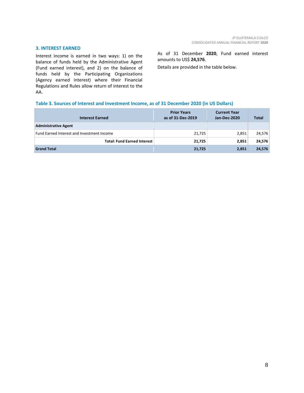# **3. INTEREST EARNED**

Interest income is earned in two ways: 1) on the balance of funds held by the Administrative Agent (Fund earned interest), and 2) on the balance of funds held by the Participating Organizations (Agency earned interest) where their Financial Regulations and Rules allow return of interest to the AA.

As of 31 December **2020**, Fund earned interest amounts to US\$ **24,576**.

Details are provided in the table below.

# **Table 3. Sources of Interest and Investment Income, as of 31 December 2020 (in US Dollars)**

| <b>Interest Earned</b>                     | <b>Prior Years</b><br>as of 31-Dec-2019 | <b>Current Year</b><br>Jan-Dec-2020 | <b>Total</b> |
|--------------------------------------------|-----------------------------------------|-------------------------------------|--------------|
| <b>Administrative Agent</b>                |                                         |                                     |              |
| Fund Earned Interest and Investment Income | 21,725                                  | 2,851                               | 24,576       |
| <b>Total: Fund Earned Interest</b>         | 21,725                                  | 2,851                               | 24,576       |
| <b>Grand Total</b>                         | 21,725                                  | 2,851                               | 24,576       |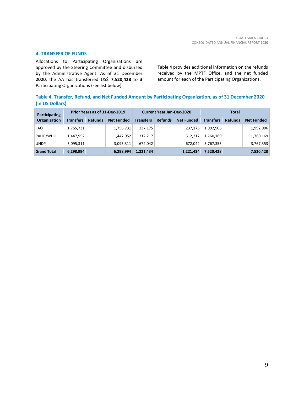### **4. TRANSFER OF FUNDS**

Allocations to Participating Organizations are approved by the Steering Committee and disbursed by the Administrative Agent. As of 31 December **2020**, the AA has transferred US\$ **7,520,428** to **3** Participating Organizations (see list below).

Table 4 provides additional information on the refunds received by the MPTF Office, and the net funded amount for each of the Participating Organizations.

# **Table 4. Transfer, Refund, and Net Funded Amount by Participating Organization, as of 31 December 2020 (in US Dollars)**

| Participating<br><b>Organization</b> | Prior Years as of 31-Dec-2019 |                |                   | <b>Current Year Jan-Dec-2020</b> |                |                   | <b>Total</b>     |                |                   |
|--------------------------------------|-------------------------------|----------------|-------------------|----------------------------------|----------------|-------------------|------------------|----------------|-------------------|
|                                      | <b>Transfers</b>              | <b>Refunds</b> | <b>Net Funded</b> | <b>Transfers</b>                 | <b>Refunds</b> | <b>Net Funded</b> | <b>Transfers</b> | <b>Refunds</b> | <b>Net Funded</b> |
| <b>FAO</b>                           | 1,755,731                     |                | 1,755,731         | 237,175                          |                | 237,175           | 1,992,906        |                | 1,992,906         |
| PAHO/WHO                             | 1,447,952                     |                | 1,447,952         | 312.217                          |                | 312,217           | 1,760,169        |                | 1,760,169         |
| <b>UNDP</b>                          | 3,095,311                     |                | 3,095,311         | 672.042                          |                | 672,042           | 3,767,353        |                | 3,767,353         |
| <b>Grand Total</b>                   | 6,298,994                     |                | 6,298,994         | 1,221,434                        |                | 1,221,434         | 7,520,428        |                | 7,520,428         |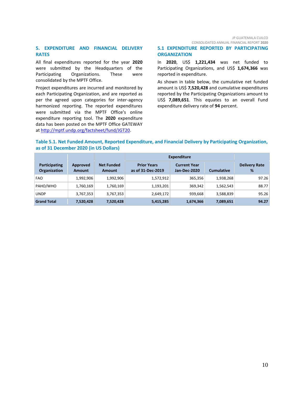#### JP GUATEMALA CUILCO CONSOLIDATED ANNUAL FINANCIAL REPORT **2020**

# **5. EXPENDITURE AND FINANCIAL DELIVERY RATES**

All final expenditures reported for the year **2020** were submitted by the Headquarters of the Participating Organizations. These were consolidated by the MPTF Office.

Project expenditures are incurred and monitored by each Participating Organization, and are reported as per the agreed upon categories for inter-agency harmonized reporting. The reported expenditures were submitted via the MPTF Office's online expenditure reporting tool. The **2020** expenditure data has been posted on the MPTF Office GATEWAY a[t http://mptf.undp.org/factsheet/fund/JGT20.](http://mptf.undp.org/factsheet/fund/JGT20)

# **5.1 EXPENDITURE REPORTED BY PARTICIPATING ORGANIZATION**

In **2020**, US\$ **1,221,434** was net funded to Participating Organizations, and US\$ 1,674,366 was reported in expenditure.

As shown in table below, the cumulative net funded amount is US\$ **7,520,428** and cumulative expenditures reported by the Participating Organizations amount to US\$ **7,089,651**. This equates to an overall Fund expenditure delivery rate of **94** percent.

# **Table 5.1. Net Funded Amount, Reported Expenditure, and Financial Delivery by Participating Organization, as of 31 December 2020 (in US Dollars)**

|                                      |                           |                                    | <b>Expenditure</b>                      |                                     |                   |                           |
|--------------------------------------|---------------------------|------------------------------------|-----------------------------------------|-------------------------------------|-------------------|---------------------------|
| Participating<br><b>Organization</b> | Approved<br><b>Amount</b> | <b>Net Funded</b><br><b>Amount</b> | <b>Prior Years</b><br>as of 31-Dec-2019 | <b>Current Year</b><br>Jan-Dec-2020 | <b>Cumulative</b> | <b>Delivery Rate</b><br>% |
| <b>FAO</b>                           | 1,992,906                 | 1,992,906                          | 1,572,912                               | 365,356                             | 1,938,268         | 97.26                     |
| PAHO/WHO                             | 1,760,169                 | 1,760,169                          | 1,193,201                               | 369,342                             | 1,562,543         | 88.77                     |
| <b>UNDP</b>                          | 3,767,353                 | 3,767,353                          | 2,649,172                               | 939,668                             | 3,588,839         | 95.26                     |
| <b>Grand Total</b>                   | 7,520,428                 | 7,520,428                          | 5,415,285                               | 1,674,366                           | 7,089,651         | 94.27                     |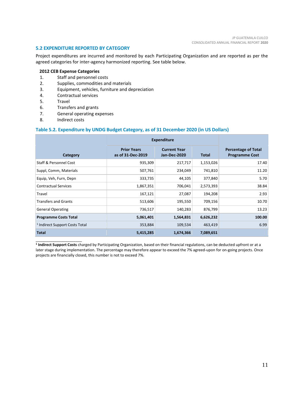# **5.2 EXPENDITURE REPORTED BY CATEGORY**

Project expenditures are incurred and monitored by each Participating Organization and are reported as per the agreed categories for inter-agency harmonized reporting. See table below.

# **2012 CEB Expense Categories**

- 1. Staff and personnel costs
- 2. Supplies, commodities and materials
- 3. Equipment, vehicles, furniture and depreciation
- 4. Contractual services<br>5. Travel
- **Travel**
- 6. Transfers and grants
- 7. General operating expenses
- 8. Indirect costs

\_\_\_\_\_\_\_\_\_\_\_\_\_\_\_\_\_\_\_\_\_\_

# **Table 5.2. Expenditure by UNDG Budget Category, as of 31 December 2020 (in US Dollars)**

|                                           | <b>Expenditure</b>                      |                                     |              |                                                     |
|-------------------------------------------|-----------------------------------------|-------------------------------------|--------------|-----------------------------------------------------|
| Category                                  | <b>Prior Years</b><br>as of 31-Dec-2019 | <b>Current Year</b><br>Jan-Dec-2020 | <b>Total</b> | <b>Percentage of Total</b><br><b>Programme Cost</b> |
| Staff & Personnel Cost                    | 935,309                                 | 217,717                             | 1,153,026    | 17.40                                               |
| Suppl, Comm, Materials                    | 507,761                                 | 234,049                             | 741,810      | 11.20                                               |
| Equip, Veh, Furn, Depn                    | 333,735                                 | 44,105                              | 377,840      | 5.70                                                |
| <b>Contractual Services</b>               | 1,867,351                               | 706,041                             | 2,573,393    | 38.84                                               |
| Travel                                    | 167,121                                 | 27,087                              | 194,208      | 2.93                                                |
| <b>Transfers and Grants</b>               | 513,606                                 | 195,550                             | 709,156      | 10.70                                               |
| <b>General Operating</b>                  | 736,517                                 | 140,283                             | 876,799      | 13.23                                               |
| <b>Programme Costs Total</b>              | 5,061,401                               | 1,564,831                           | 6,626,232    | 100.00                                              |
| <sup>1</sup> Indirect Support Costs Total | 353,884                                 | 109,534                             | 463,419      | 6.99                                                |
| <b>Total</b>                              | 5,415,285                               | 1,674,366                           | 7,089,651    |                                                     |

**1 Indirect Support Costs** charged by Participating Organization, based on their financial regulations, can be deducted upfront or at a later stage during implementation. The percentage may therefore appear to exceed the 7% agreed-upon for on-going projects. Once projects are financially closed, this number is not to exceed 7%.